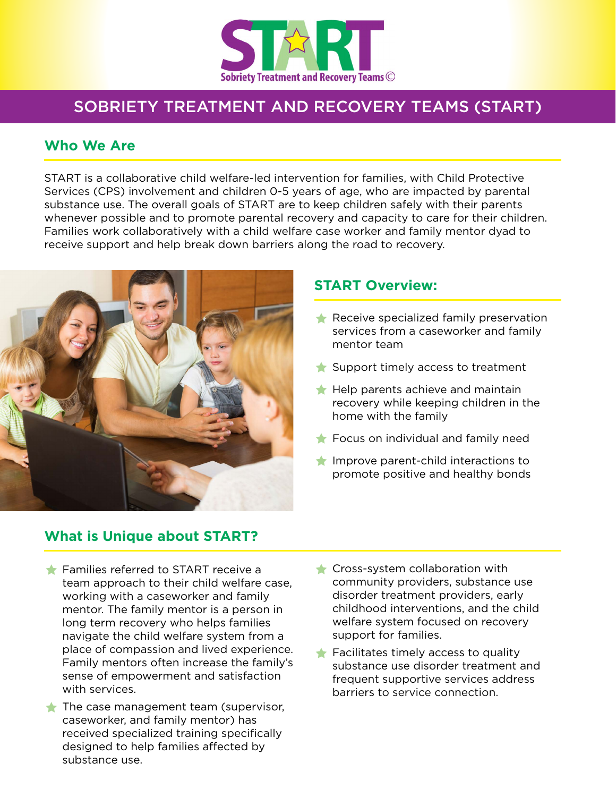

# SOBRIETY TREATMENT AND RECOVERY TEAMS (START)

#### **Who We Are**

START is a collaborative child welfare-led intervention for families, with Child Protective Services (CPS) involvement and children 0-5 years of age, who are impacted by parental substance use. The overall goals of START are to keep children safely with their parents whenever possible and to promote parental recovery and capacity to care for their children. Families work collaboratively with a child welfare case worker and family mentor dyad to receive support and help break down barriers along the road to recovery.



#### **START Overview:**

- $\bigstar$  Receive specialized family preservation services from a caseworker and family mentor team
- $\triangle$  Support timely access to treatment
- $\bigstar$  Help parents achieve and maintain recovery while keeping children in the home with the family
- $\triangle$  Focus on individual and family need
- $\bigstar$  Improve parent-child interactions to promote positive and healthy bonds

### **What is Unique about START?**

- $\triangle$  Families referred to START receive a team approach to their child welfare case, working with a caseworker and family mentor. The family mentor is a person in long term recovery who helps families navigate the child welfare system from a place of compassion and lived experience. Family mentors often increase the family's sense of empowerment and satisfaction with services.
- $\triangle$  The case management team (supervisor, caseworker, and family mentor) has received specialized training specifically designed to help families affected by substance use.
- $\triangle$  Cross-system collaboration with community providers, substance use disorder treatment providers, early childhood interventions, and the child welfare system focused on recovery support for families.
- $\triangle$  Facilitates timely access to quality substance use disorder treatment and frequent supportive services address barriers to service connection.